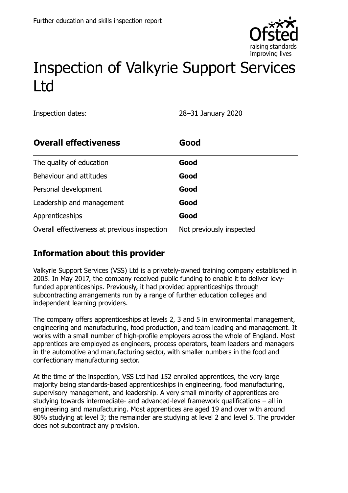

# Inspection of Valkyrie Support Services Ltd

Inspection dates: 28–31 January 2020

| <b>Overall effectiveness</b>                 | Good                     |
|----------------------------------------------|--------------------------|
| The quality of education                     | Good                     |
| Behaviour and attitudes                      | Good                     |
| Personal development                         | Good                     |
| Leadership and management                    | Good                     |
| Apprenticeships                              | Good                     |
| Overall effectiveness at previous inspection | Not previously inspected |

## **Information about this provider**

Valkyrie Support Services (VSS) Ltd is a privately-owned training company established in 2005. In May 2017, the company received public funding to enable it to deliver levyfunded apprenticeships. Previously, it had provided apprenticeships through subcontracting arrangements run by a range of further education colleges and independent learning providers.

The company offers apprenticeships at levels 2, 3 and 5 in environmental management, engineering and manufacturing, food production, and team leading and management. It works with a small number of high-profile employers across the whole of England. Most apprentices are employed as engineers, process operators, team leaders and managers in the automotive and manufacturing sector, with smaller numbers in the food and confectionary manufacturing sector.

At the time of the inspection, VSS Ltd had 152 enrolled apprentices, the very large majority being standards-based apprenticeships in engineering, food manufacturing, supervisory management, and leadership. A very small minority of apprentices are studying towards intermediate- and advanced-level framework qualifications – all in engineering and manufacturing. Most apprentices are aged 19 and over with around 80% studying at level 3; the remainder are studying at level 2 and level 5. The provider does not subcontract any provision.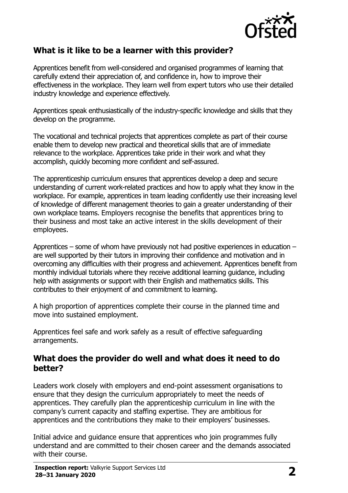

#### **What is it like to be a learner with this provider?**

Apprentices benefit from well-considered and organised programmes of learning that carefully extend their appreciation of, and confidence in, how to improve their effectiveness in the workplace. They learn well from expert tutors who use their detailed industry knowledge and experience effectively.

Apprentices speak enthusiastically of the industry-specific knowledge and skills that they develop on the programme.

The vocational and technical projects that apprentices complete as part of their course enable them to develop new practical and theoretical skills that are of immediate relevance to the workplace. Apprentices take pride in their work and what they accomplish, quickly becoming more confident and self-assured.

The apprenticeship curriculum ensures that apprentices develop a deep and secure understanding of current work-related practices and how to apply what they know in the workplace. For example, apprentices in team leading confidently use their increasing level of knowledge of different management theories to gain a greater understanding of their own workplace teams. Employers recognise the benefits that apprentices bring to their business and most take an active interest in the skills development of their employees.

Apprentices – some of whom have previously not had positive experiences in education – are well supported by their tutors in improving their confidence and motivation and in overcoming any difficulties with their progress and achievement. Apprentices benefit from monthly individual tutorials where they receive additional learning guidance, including help with assignments or support with their English and mathematics skills. This contributes to their enjoyment of and commitment to learning.

A high proportion of apprentices complete their course in the planned time and move into sustained employment.

Apprentices feel safe and work safely as a result of effective safeguarding arrangements.

#### **What does the provider do well and what does it need to do better?**

Leaders work closely with employers and end-point assessment organisations to ensure that they design the curriculum appropriately to meet the needs of apprentices. They carefully plan the apprenticeship curriculum in line with the company's current capacity and staffing expertise. They are ambitious for apprentices and the contributions they make to their employers' businesses.

Initial advice and guidance ensure that apprentices who join programmes fully understand and are committed to their chosen career and the demands associated with their course.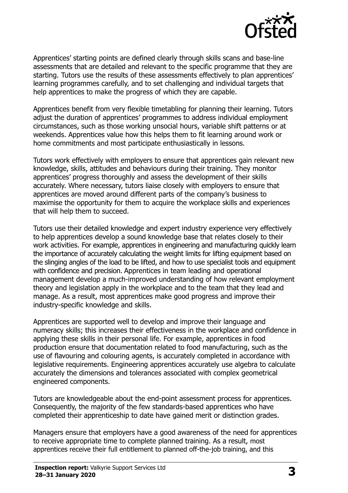

Apprentices' starting points are defined clearly through skills scans and base-line assessments that are detailed and relevant to the specific programme that they are starting. Tutors use the results of these assessments effectively to plan apprentices' learning programmes carefully, and to set challenging and individual targets that help apprentices to make the progress of which they are capable.

Apprentices benefit from very flexible timetabling for planning their learning. Tutors adjust the duration of apprentices' programmes to address individual employment circumstances, such as those working unsocial hours, variable shift patterns or at weekends. Apprentices value how this helps them to fit learning around work or home commitments and most participate enthusiastically in lessons.

Tutors work effectively with employers to ensure that apprentices gain relevant new knowledge, skills, attitudes and behaviours during their training. They monitor apprentices' progress thoroughly and assess the development of their skills accurately. Where necessary, tutors liaise closely with employers to ensure that apprentices are moved around different parts of the company's business to maximise the opportunity for them to acquire the workplace skills and experiences that will help them to succeed.

Tutors use their detailed knowledge and expert industry experience very effectively to help apprentices develop a sound knowledge base that relates closely to their work activities. For example, apprentices in engineering and manufacturing quickly learn the importance of accurately calculating the weight limits for lifting equipment based on the slinging angles of the load to be lifted, and how to use specialist tools and equipment with confidence and precision. Apprentices in team leading and operational management develop a much-improved understanding of how relevant employment theory and legislation apply in the workplace and to the team that they lead and manage. As a result, most apprentices make good progress and improve their industry-specific knowledge and skills.

Apprentices are supported well to develop and improve their language and numeracy skills; this increases their effectiveness in the workplace and confidence in applying these skills in their personal life. For example, apprentices in food production ensure that documentation related to food manufacturing, such as the use of flavouring and colouring agents, is accurately completed in accordance with legislative requirements. Engineering apprentices accurately use algebra to calculate accurately the dimensions and tolerances associated with complex geometrical engineered components.

Tutors are knowledgeable about the end-point assessment process for apprentices. Consequently, the majority of the few standards-based apprentices who have completed their apprenticeship to date have gained merit or distinction grades.

Managers ensure that employers have a good awareness of the need for apprentices to receive appropriate time to complete planned training. As a result, most apprentices receive their full entitlement to planned off-the-job training, and this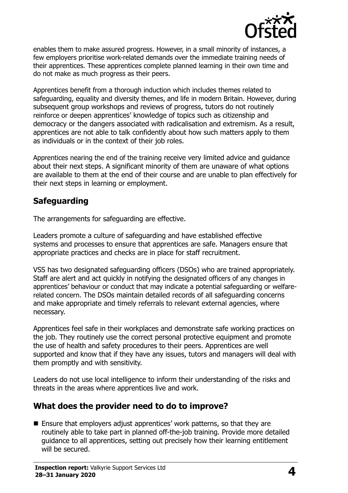

enables them to make assured progress. However, in a small minority of instances, a few employers prioritise work-related demands over the immediate training needs of their apprentices. These apprentices complete planned learning in their own time and do not make as much progress as their peers.

Apprentices benefit from a thorough induction which includes themes related to safeguarding, equality and diversity themes, and life in modern Britain. However, during subsequent group workshops and reviews of progress, tutors do not routinely reinforce or deepen apprentices' knowledge of topics such as citizenship and democracy or the dangers associated with radicalisation and extremism. As a result, apprentices are not able to talk confidently about how such matters apply to them as individuals or in the context of their job roles.

Apprentices nearing the end of the training receive very limited advice and guidance about their next steps. A significant minority of them are unaware of what options are available to them at the end of their course and are unable to plan effectively for their next steps in learning or employment.

## **Safeguarding**

The arrangements for safeguarding are effective.

Leaders promote a culture of safeguarding and have established effective systems and processes to ensure that apprentices are safe. Managers ensure that appropriate practices and checks are in place for staff recruitment.

VSS has two designated safeguarding officers (DSOs) who are trained appropriately. Staff are alert and act quickly in notifying the designated officers of any changes in apprentices' behaviour or conduct that may indicate a potential safeguarding or welfarerelated concern. The DSOs maintain detailed records of all safeguarding concerns and make appropriate and timely referrals to relevant external agencies, where necessary.

Apprentices feel safe in their workplaces and demonstrate safe working practices on the job. They routinely use the correct personal protective equipment and promote the use of health and safety procedures to their peers. Apprentices are well supported and know that if they have any issues, tutors and managers will deal with them promptly and with sensitivity.

Leaders do not use local intelligence to inform their understanding of the risks and threats in the areas where apprentices live and work.

### **What does the provider need to do to improve?**

■ Ensure that employers adjust apprentices' work patterns, so that they are routinely able to take part in planned off-the-job training. Provide more detailed guidance to all apprentices, setting out precisely how their learning entitlement will be secured.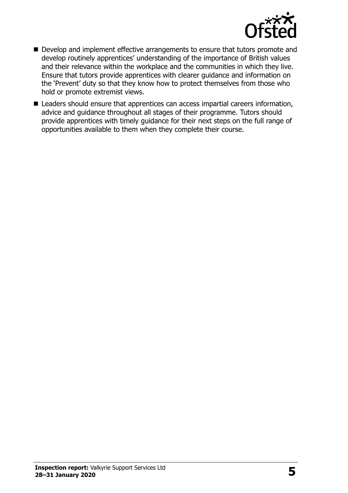

- Develop and implement effective arrangements to ensure that tutors promote and develop routinely apprentices' understanding of the importance of British values and their relevance within the workplace and the communities in which they live. Ensure that tutors provide apprentices with clearer guidance and information on the 'Prevent' duty so that they know how to protect themselves from those who hold or promote extremist views.
- Leaders should ensure that apprentices can access impartial careers information, advice and guidance throughout all stages of their programme. Tutors should provide apprentices with timely guidance for their next steps on the full range of opportunities available to them when they complete their course.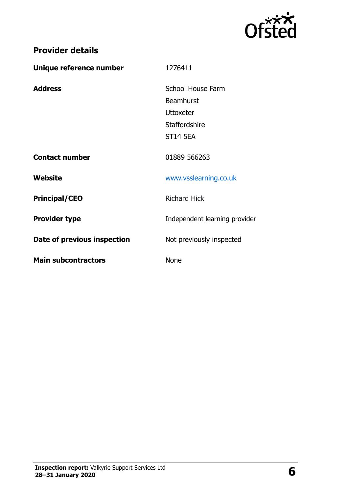

| <b>Provider details</b>     |                                                                                               |
|-----------------------------|-----------------------------------------------------------------------------------------------|
| Unique reference number     | 1276411                                                                                       |
| <b>Address</b>              | School House Farm<br><b>Beamhurst</b><br><b>Uttoxeter</b><br>Staffordshire<br><b>ST14 5EA</b> |
| <b>Contact number</b>       | 01889 566263                                                                                  |
| Website                     | www.vsslearning.co.uk                                                                         |
| <b>Principal/CEO</b>        | <b>Richard Hick</b>                                                                           |
| <b>Provider type</b>        | Independent learning provider                                                                 |
| Date of previous inspection | Not previously inspected                                                                      |
| <b>Main subcontractors</b>  | <b>None</b>                                                                                   |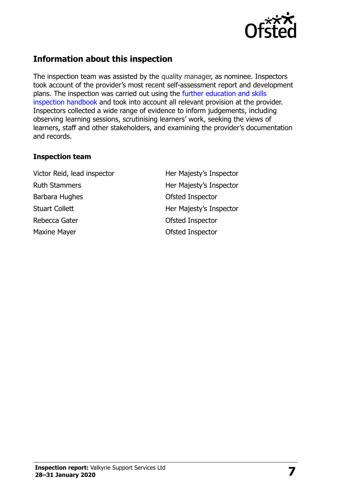

### **Information about this inspection**

The inspection team was assisted by the quality manager, as nominee. Inspectors took account of the provider's most recent self-assessment report and development plans. The inspection was carried out using the [further education and skills](http://www.gov.uk/government/publications/further-education-and-skills-inspection-handbook-eif)  [inspection handbook](http://www.gov.uk/government/publications/further-education-and-skills-inspection-handbook-eif) and took into account all relevant provision at the provider. Inspectors collected a wide range of evidence to inform judgements, including observing learning sessions, scrutinising learners' work, seeking the views of learners, staff and other stakeholders, and examining the provider's documentation and records.

#### **Inspection team**

Victor Reid, lead inspector **Her Majesty's Inspector** Ruth Stammers **Her Majesty's Inspector** Barbara Hughes **Districts** Ofsted Inspector Stuart Collett **Her Majesty's Inspector** Rebecca Gater **Calculation** Constanting Constanting Constanting Constanting Constanting Constanting Constanting Constanting Constanting Constanting Constanting Constanting Constanting Constanting Constanting Constanting Co Maxine Mayer **Maxine Mayer Constant Maxine Mayer Ofsted Inspector**